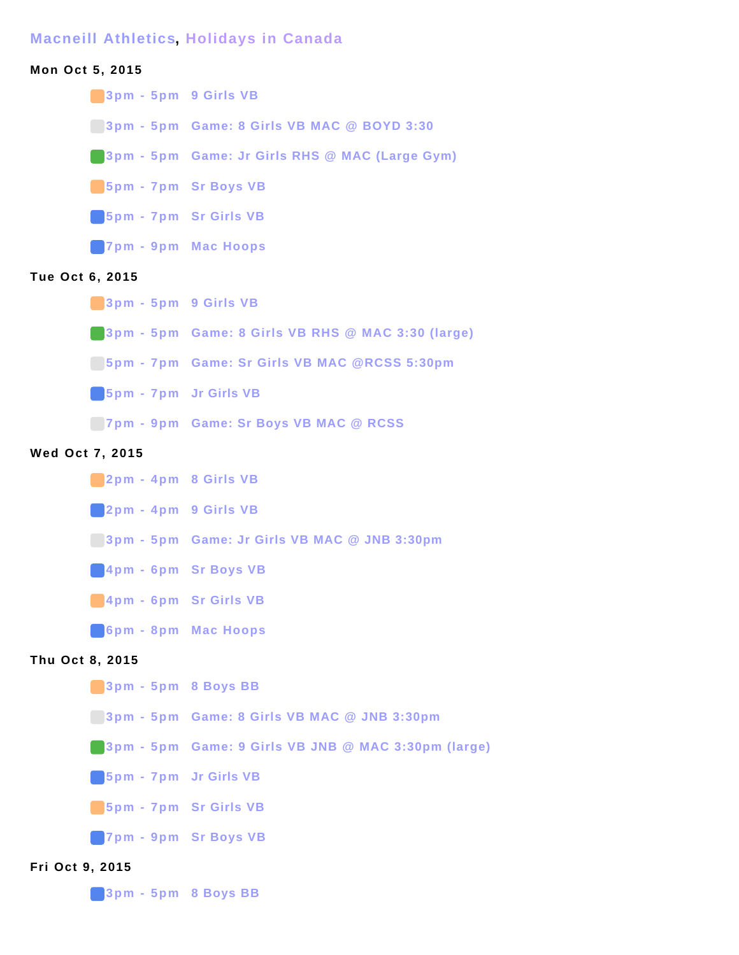## **Macneill Athletics, Holidays in Canada**

# **Mon Oct 5, 2015**

**3pm - 5pm 9 Girls VB**

**3pm - 5pm Game: 8 Girls VB MAC @ BOYD 3:30**

**3pm - 5pm Game: Jr Girls RHS @ MAC (Large Gym)**

**5pm - 7pm Sr Boys VB**

**5pm - 7pm Sr Girls VB**

**7pm - 9pm Mac Hoops**

### **Tue Oct 6, 2015**

**3pm - 5pm 9 Girls VB**

**3pm - 5pm Game: 8 Girls VB RHS @ MAC 3:30 (large)**

**5pm - 7pm Game: Sr Girls VB MAC @RCSS 5:30pm**

**5pm - 7pm Jr Girls VB**

**7pm - 9pm Game: Sr Boys VB MAC @ RCSS**

#### **Wed Oct 7, 2015**

**2pm - 4pm 8 Girls VB**

**2pm - 4pm 9 Girls VB**

**3pm - 5pm Game: Jr Girls VB MAC @ JNB 3:30pm**

**4pm - 6pm Sr Boys VB**

**4pm - 6pm Sr Girls VB**

**6pm - 8pm Mac Hoops**

# **Thu Oct 8, 2015**

- **3pm 5pm 8 Boys BB**
- **3pm 5pm Game: 8 Girls VB MAC @ JNB 3:30pm**
- **3pm 5pm Game: 9 Girls VB JNB @ MAC 3:30pm (large)**

**5pm - 7pm Jr Girls VB**

**5pm - 7pm Sr Girls VB**

**7pm - 9pm Sr Boys VB**

## **Fri Oct 9, 2015**

**3pm - 5pm 8 Boys BB**